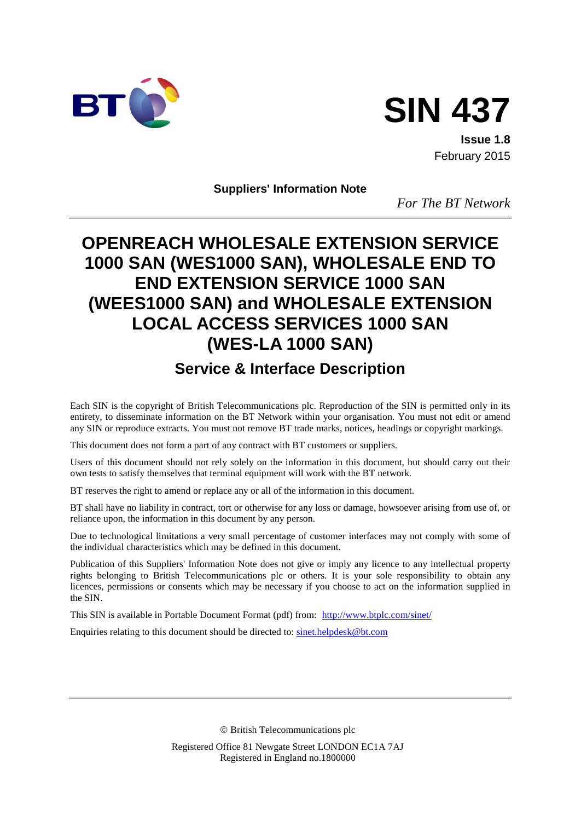



**Issue 1.8** February 2015

**Suppliers' Information Note**

*For The BT Network*

# **OPENREACH WHOLESALE EXTENSION SERVICE 1000 SAN (WES1000 SAN), WHOLESALE END TO END EXTENSION SERVICE 1000 SAN (WEES1000 SAN) and WHOLESALE EXTENSION LOCAL ACCESS SERVICES 1000 SAN (WES-LA 1000 SAN)**

# **Service & Interface Description**

Each SIN is the copyright of British Telecommunications plc. Reproduction of the SIN is permitted only in its entirety, to disseminate information on the BT Network within your organisation. You must not edit or amend any SIN or reproduce extracts. You must not remove BT trade marks, notices, headings or copyright markings.

This document does not form a part of any contract with BT customers or suppliers.

Users of this document should not rely solely on the information in this document, but should carry out their own tests to satisfy themselves that terminal equipment will work with the BT network.

BT reserves the right to amend or replace any or all of the information in this document.

BT shall have no liability in contract, tort or otherwise for any loss or damage, howsoever arising from use of, or reliance upon, the information in this document by any person.

Due to technological limitations a very small percentage of customer interfaces may not comply with some of the individual characteristics which may be defined in this document.

Publication of this Suppliers' Information Note does not give or imply any licence to any intellectual property rights belonging to British Telecommunications plc or others. It is your sole responsibility to obtain any licences, permissions or consents which may be necessary if you choose to act on the information supplied in the SIN.

This SIN is available in Portable Document Format (pdf) from: <http://www.btplc.com/sinet/>

Enquiries relating to this document should be directed to: [sinet.helpdesk@bt.com](mailto:sinet.helpdesk@bt.com)

British Telecommunications plc

Registered Office 81 Newgate Street LONDON EC1A 7AJ Registered in England no.1800000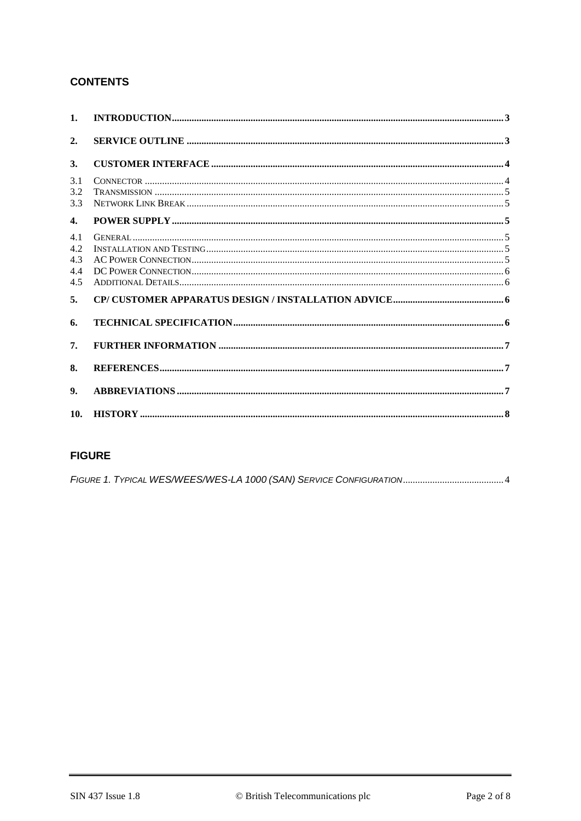# **CONTENTS**

| 1 <sub>1</sub>                         |  |
|----------------------------------------|--|
| 2.                                     |  |
| 3.                                     |  |
| 3.1<br>3.2<br>3.3                      |  |
| $\mathbf{4}$                           |  |
| 4.1<br>4.2.<br>4.3<br>4.4<br>4.5<br>5. |  |
| 6.                                     |  |
| 7.                                     |  |
| 8.                                     |  |
| 9.                                     |  |
| 10.                                    |  |

# **FIGURE**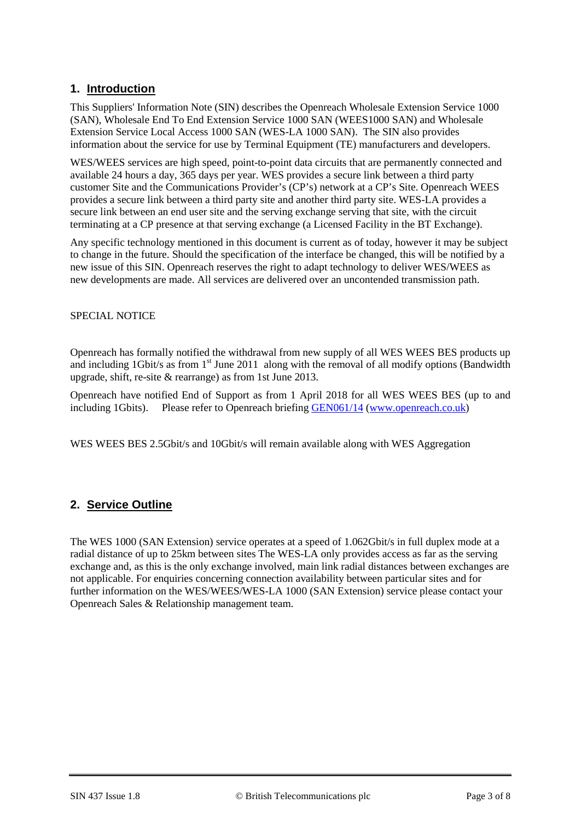# **1. Introduction**

This Suppliers' Information Note (SIN) describes the Openreach Wholesale Extension Service 1000 (SAN), Wholesale End To End Extension Service 1000 SAN (WEES1000 SAN) and Wholesale Extension Service Local Access 1000 SAN (WES-LA 1000 SAN). The SIN also provides information about the service for use by Terminal Equipment (TE) manufacturers and developers.

WES/WEES services are high speed, point-to-point data circuits that are permanently connected and available 24 hours a day, 365 days per year. WES provides a secure link between a third party customer Site and the Communications Provider's (CP's) network at a CP's Site. Openreach WEES provides a secure link between a third party site and another third party site. WES-LA provides a secure link between an end user site and the serving exchange serving that site, with the circuit terminating at a CP presence at that serving exchange (a Licensed Facility in the BT Exchange).

Any specific technology mentioned in this document is current as of today, however it may be subject to change in the future. Should the specification of the interface be changed, this will be notified by a new issue of this SIN. Openreach reserves the right to adapt technology to deliver WES/WEES as new developments are made. All services are delivered over an uncontended transmission path.

#### SPECIAL NOTICE

Openreach has formally notified the withdrawal from new supply of all WES WEES BES products up and including  $1$ Gbit/s as from  $1<sup>st</sup>$  June 2011 along with the removal of all modify options (Bandwidth upgrade, shift, re-site & rearrange) as from 1st June 2013.

Openreach have notified End of Support as from 1 April 2018 for all WES WEES BES (up to and including 1Gbits). Please refer to Openreach briefing [GEN061/14](http://www.internal.openreach.co.uk/orpg/home/updates/briefings/generalbriefings/generalbriefingsarticles/gen06114.do) [\(www.openreach.co.uk\)](http://www.openreach.co.uk/)

WES WEES BES 2.5Gbit/s and 10Gbit/s will remain available along with WES Aggregation

### **2. Service Outline**

The WES 1000 (SAN Extension) service operates at a speed of 1.062Gbit/s in full duplex mode at a radial distance of up to 25km between sites The WES-LA only provides access as far as the serving exchange and, as this is the only exchange involved, main link radial distances between exchanges are not applicable. For enquiries concerning connection availability between particular sites and for further information on the WES/WEES/WES-LA 1000 (SAN Extension) service please contact your Openreach Sales & Relationship management team.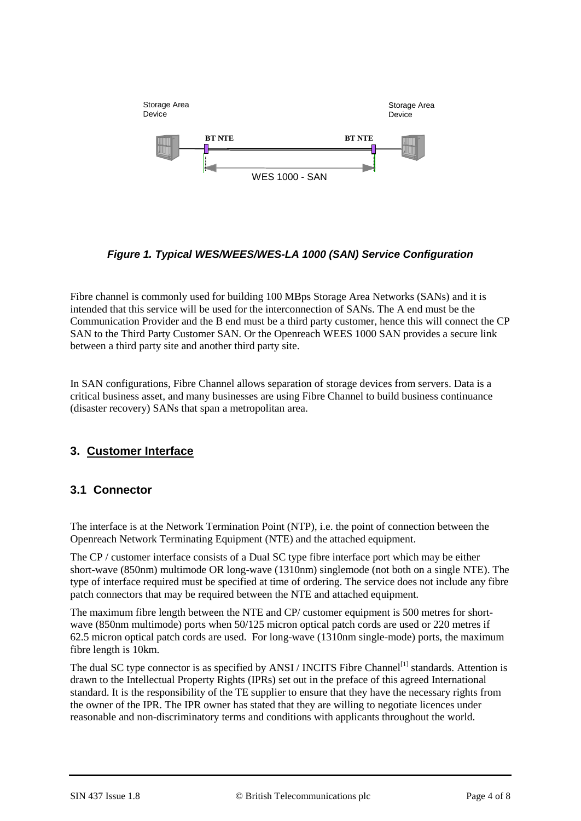

<span id="page-3-0"></span>*Figure 1. Typical WES/WEES/WES-LA 1000 (SAN) Service Configuration*

Fibre channel is commonly used for building 100 MBps Storage Area Networks (SANs) and it is intended that this service will be used for the interconnection of SANs. The A end must be the Communication Provider and the B end must be a third party customer, hence this will connect the CP SAN to the Third Party Customer SAN. Or the Openreach WEES 1000 SAN provides a secure link between a third party site and another third party site.

In SAN configurations, Fibre Channel allows separation of storage devices from servers. Data is a critical business asset, and many businesses are using Fibre Channel to build business continuance (disaster recovery) SANs that span a metropolitan area.

# **3. Customer Interface**

# **3.1 Connector**

The interface is at the Network Termination Point (NTP), i.e. the point of connection between the Openreach Network Terminating Equipment (NTE) and the attached equipment.

The CP / customer interface consists of a Dual SC type fibre interface port which may be either short-wave (850nm) multimode OR long-wave (1310nm) singlemode (not both on a single NTE). The type of interface required must be specified at time of ordering. The service does not include any fibre patch connectors that may be required between the NTE and attached equipment.

The maximum fibre length between the NTE and CP/ customer equipment is 500 metres for shortwave (850nm multimode) ports when 50/125 micron optical patch cords are used or 220 metres if 62.5 micron optical patch cords are used. For long-wave (1310nm single-mode) ports, the maximum fibre length is 10km.

The dual SC type connector is as specified by ANSI / INCITS Fibre Channel<sup>[1]</sup> standards. Attention is drawn to the Intellectual Property Rights (IPRs) set out in the preface of this agreed International standard. It is the responsibility of the TE supplier to ensure that they have the necessary rights from the owner of the IPR. The IPR owner has stated that they are willing to negotiate licences under reasonable and non-discriminatory terms and conditions with applicants throughout the world.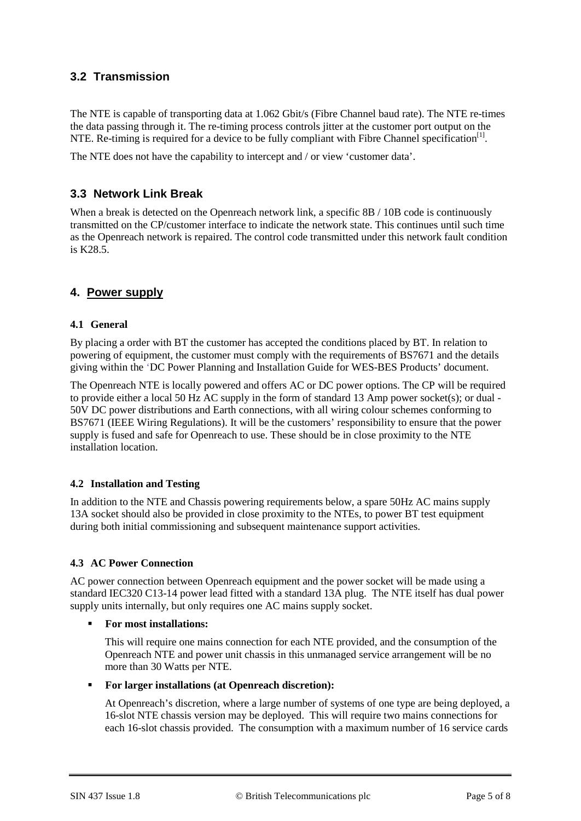# **3.2 Transmission**

The NTE is capable of transporting data at 1.062 Gbit/s (Fibre Channel baud rate). The NTE re-times the data passing through it. The re-timing process controls jitter at the customer port output on the NTE. Re-timing is required for a device to be fully compliant with Fibre Channel specification<sup>[1]</sup>.

The NTE does not have the capability to intercept and / or view 'customer data'.

# **3.3 Network Link Break**

When a break is detected on the Openreach network link, a specific 8B / 10B code is continuously transmitted on the CP/customer interface to indicate the network state. This continues until such time as the Openreach network is repaired. The control code transmitted under this network fault condition is K28.5.

### **4. Power supply**

#### **4.1 General**

By placing a order with BT the customer has accepted the conditions placed by BT. In relation to powering of equipment, the customer must comply with the requirements of BS7671 and the details giving within the 'DC Power Planning and Installation Guide for WES-BES Products' document.

The Openreach NTE is locally powered and offers AC or DC power options. The CP will be required to provide either a local 50 Hz AC supply in the form of standard 13 Amp power socket(s); or dual - 50V DC power distributions and Earth connections, with all wiring colour schemes conforming to BS7671 (IEEE Wiring Regulations). It will be the customers' responsibility to ensure that the power supply is fused and safe for Openreach to use. These should be in close proximity to the NTE installation location.

#### **4.2 Installation and Testing**

In addition to the NTE and Chassis powering requirements below, a spare 50Hz AC mains supply 13A socket should also be provided in close proximity to the NTEs, to power BT test equipment during both initial commissioning and subsequent maintenance support activities.

#### **4.3 AC Power Connection**

AC power connection between Openreach equipment and the power socket will be made using a standard IEC320 C13-14 power lead fitted with a standard 13A plug. The NTE itself has dual power supply units internally, but only requires one AC mains supply socket.

#### **For most installations:**

This will require one mains connection for each NTE provided, and the consumption of the Openreach NTE and power unit chassis in this unmanaged service arrangement will be no more than 30 Watts per NTE.

#### **For larger installations (at Openreach discretion):**

At Openreach's discretion, where a large number of systems of one type are being deployed, a 16-slot NTE chassis version may be deployed. This will require two mains connections for each 16-slot chassis provided. The consumption with a maximum number of 16 service cards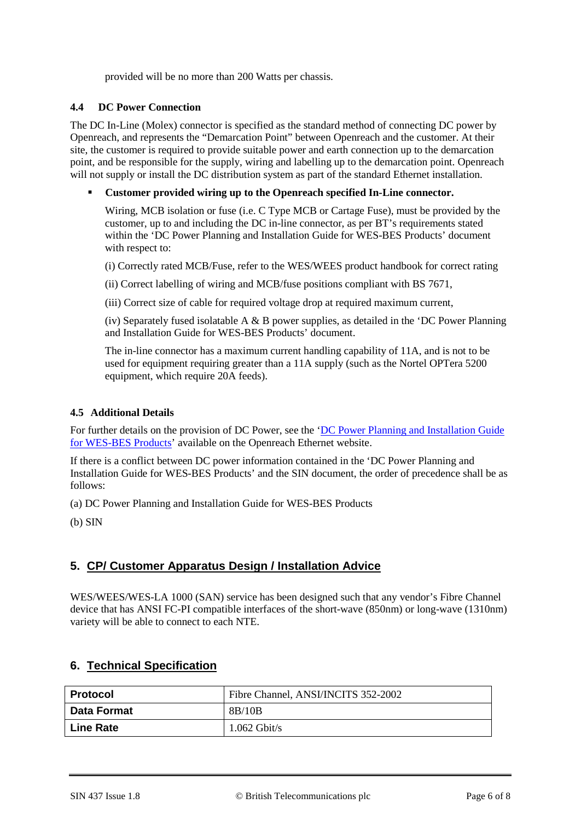provided will be no more than 200 Watts per chassis.

#### **4.4 DC Power Connection**

The DC In-Line (Molex) connector is specified as the standard method of connecting DC power by Openreach, and represents the "Demarcation Point" between Openreach and the customer. At their site, the customer is required to provide suitable power and earth connection up to the demarcation point, and be responsible for the supply, wiring and labelling up to the demarcation point. Openreach will not supply or install the DC distribution system as part of the standard Ethernet installation.

#### **Customer provided wiring up to the Openreach specified In-Line connector.**

Wiring, MCB isolation or fuse (i.e. C Type MCB or Cartage Fuse), must be provided by the customer, up to and including the DC in-line connector, as per BT's requirements stated within the 'DC Power Planning and Installation Guide for WES-BES Products' document with respect to:

(i) Correctly rated MCB/Fuse, refer to the WES/WEES product handbook for correct rating

(ii) Correct labelling of wiring and MCB/fuse positions compliant with BS 7671,

(iii) Correct size of cable for required voltage drop at required maximum current,

(iv) Separately fused isolatable A  $\&$  B power supplies, as detailed in the 'DC Power Planning and Installation Guide for WES-BES Products' document.

The in-line connector has a maximum current handling capability of 11A, and is not to be used for equipment requiring greater than a 11A supply (such as the Nortel OPTera 5200 equipment, which require 20A feeds).

#### **4.5 Additional Details**

For further details on the provision of DC Power, see the '<u>DC Power Planning and Installation Guide</u> [for WES-BES Products'](https://www.openreach.co.uk/orpg/home/newlogin.do?smauthreason=0&target=http%3A%2F%2Fwww.openreach.co.uk%2Forpg%2Fcustomerzone%2Fproducts%2Fethernetservices%2Fethernetaccessdirect%2Fdescription%2Fsupplementaryinformation%2Fsupplementaryinfo.do&fromMasterHead=1) available on the Openreach Ethernet website.

If there is a conflict between DC power information contained in the 'DC Power Planning and Installation Guide for WES-BES Products' and the SIN document, the order of precedence shall be as follows:

(a) DC Power Planning and Installation Guide for WES-BES Products

(b) SIN

### **5. CP/ Customer Apparatus Design / Installation Advice**

WES/WEES/WES-LA 1000 (SAN) service has been designed such that any vendor's Fibre Channel device that has ANSI FC-PI compatible interfaces of the short-wave (850nm) or long-wave (1310nm) variety will be able to connect to each NTE.

### **6. Technical Specification**

| Protocol           | Fibre Channel, ANSI/INCITS 352-2002 |
|--------------------|-------------------------------------|
| <b>Data Format</b> | 8B/10B                              |
| <b>Line Rate</b>   | $1.062$ Gbit/s                      |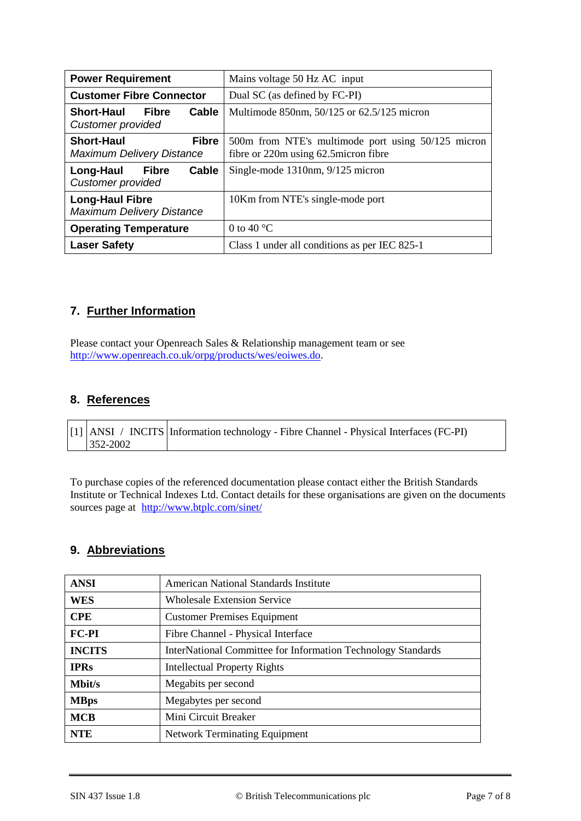| <b>Power Requirement</b>                                              | Mains voltage 50 Hz AC input                                                                |
|-----------------------------------------------------------------------|---------------------------------------------------------------------------------------------|
| <b>Customer Fibre Connector</b>                                       | Dual SC (as defined by FC-PI)                                                               |
| <b>Short-Haul</b><br>Fibre<br>Cable<br>Customer provided              | Multimode 850nm, 50/125 or 62.5/125 micron                                                  |
| <b>Short-Haul</b><br><b>Fibre</b><br><b>Maximum Delivery Distance</b> | 500m from NTE's multimode port using 50/125 micron<br>fibre or 220m using 62.5 micron fibre |
| Long-Haul<br><b>Fibre</b><br>Cable<br><b>Customer provided</b>        | Single-mode 1310nm, 9/125 micron                                                            |
| <b>Long-Haul Fibre</b><br><b>Maximum Delivery Distance</b>            | 10Km from NTE's single-mode port                                                            |
| <b>Operating Temperature</b>                                          | 0 to 40 $^{\circ}$ C                                                                        |
| <b>Laser Safety</b>                                                   | Class 1 under all conditions as per IEC 825-1                                               |

# **7. Further Information**

Please contact your Openreach Sales & Relationship management team or see [http://www.openreach.co.uk/orpg/products/wes/eoiwes.do.](http://www.openreach.co.uk/orpg/products/wes/eoiwes.do)

## **8. References**

|               | [1] ANSI / INCITS Information technology - Fibre Channel - Physical Interfaces (FC-PI) |
|---------------|----------------------------------------------------------------------------------------|
| $1352 - 2002$ |                                                                                        |

To purchase copies of the referenced documentation please contact either the British Standards Institute or Technical Indexes Ltd. Contact details for these organisations are given on the documents sources page at <http://www.btplc.com/sinet/>

## **9. Abbreviations**

| <b>ANSI</b>   | American National Standards Institute                        |
|---------------|--------------------------------------------------------------|
| WES           | <b>Wholesale Extension Service</b>                           |
| <b>CPE</b>    | <b>Customer Premises Equipment</b>                           |
| <b>FC-PI</b>  | Fibre Channel - Physical Interface                           |
| <b>INCITS</b> | InterNational Committee for Information Technology Standards |
| <b>IPRs</b>   | <b>Intellectual Property Rights</b>                          |
| <b>Mbit/s</b> | Megabits per second                                          |
| <b>MBps</b>   | Megabytes per second                                         |
| <b>MCB</b>    | Mini Circuit Breaker                                         |
| <b>NTE</b>    | <b>Network Terminating Equipment</b>                         |